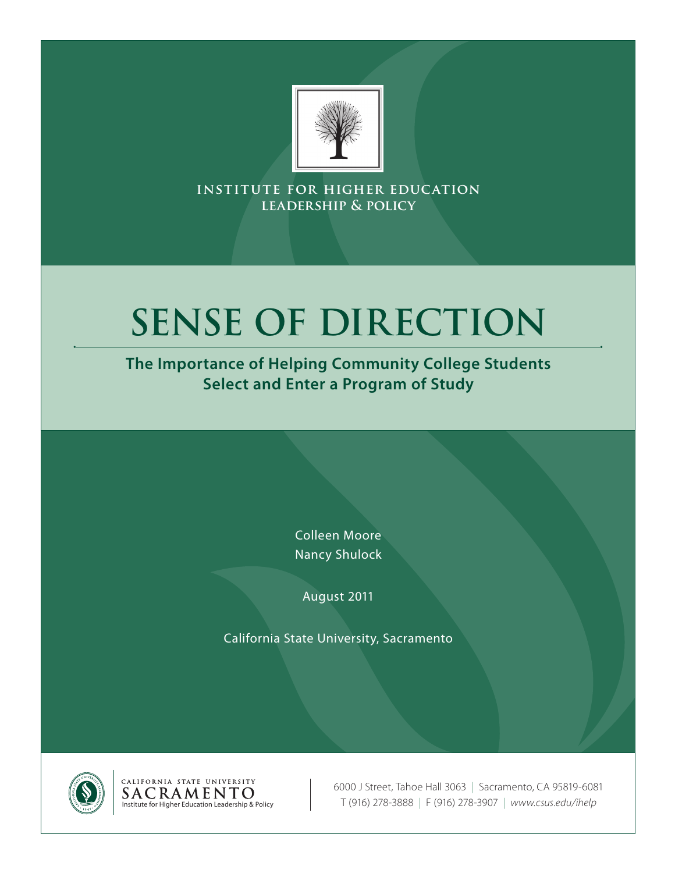

**institute for higher education leadership & policy**

# **Sense of Direction**

**The Importance of Helping Community College Students Select and Enter a Program of Study**

> Colleen Moore Nancy Shulock

August 2011

California State University, Sacramento





6000 J Street, Tahoe Hall 3063 | Sacramento, CA 95819-6081 Institute for Higher Education Leadership & Policy T (916) 278-3888 | F (916) 278-3907 | *www.csus.edu/ihelp*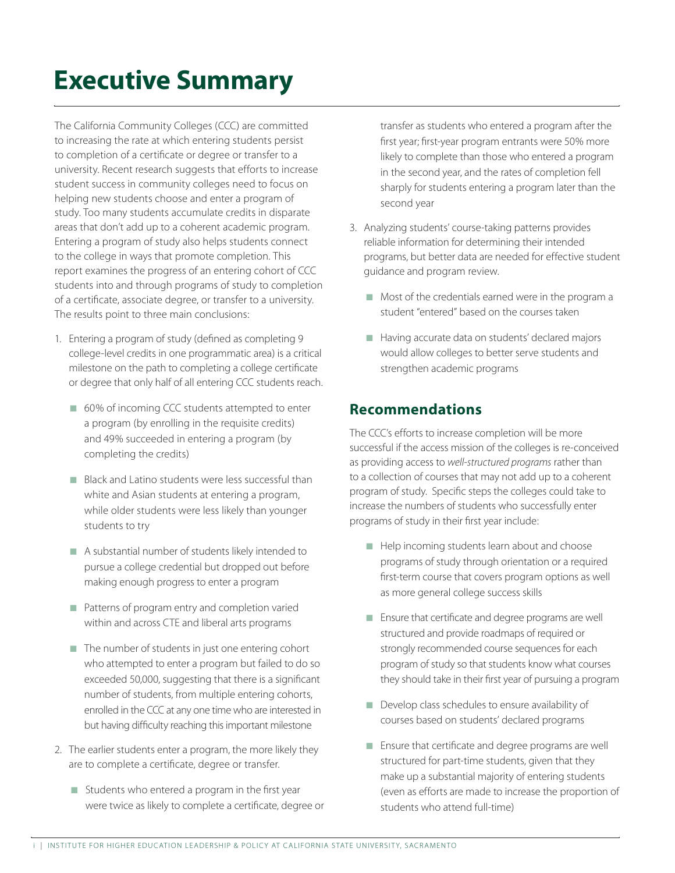# **Executive Summary**

The California Community Colleges (CCC) are committed to increasing the rate at which entering students persist to completion of a certificate or degree or transfer to a university. Recent research suggests that efforts to increase student success in community colleges need to focus on helping new students choose and enter a program of study. Too many students accumulate credits in disparate areas that don't add up to a coherent academic program. Entering a program of study also helps students connect to the college in ways that promote completion. This report examines the progress of an entering cohort of CCC students into and through programs of study to completion of a certificate, associate degree, or transfer to a university. The results point to three main conclusions:

- 1. Entering a program of study (defined as completing 9 college-level credits in one programmatic area) is a critical milestone on the path to completing a college certificate or degree that only half of all entering CCC students reach.
	- $\Box$  60% of incoming CCC students attempted to enter a program (by enrolling in the requisite credits) and 49% succeeded in entering a program (by completing the credits)
	- Black and Latino students were less successful than white and Asian students at entering a program, while older students were less likely than younger students to try
	- $\blacksquare$  A substantial number of students likely intended to pursue a college credential but dropped out before making enough progress to enter a program
	- $\blacksquare$  Patterns of program entry and completion varied within and across CTE and liberal arts programs
	- $\blacksquare$  The number of students in just one entering cohort who attempted to enter a program but failed to do so exceeded 50,000, suggesting that there is a significant number of students, from multiple entering cohorts, enrolled in the CCC at any one time who are interested in but having difficulty reaching this important milestone
- 2. The earlier students enter a program, the more likely they are to complete a certificate, degree or transfer.
	- $\blacksquare$  Students who entered a program in the first year were twice as likely to complete a certificate, degree or

transfer as students who entered a program after the first year; first-year program entrants were 50% more likely to complete than those who entered a program in the second year, and the rates of completion fell sharply for students entering a program later than the second year

- 3. Analyzing students' course-taking patterns provides reliable information for determining their intended programs, but better data are needed for effective student guidance and program review.
	- $\blacksquare$  Most of the credentials earned were in the program a student "entered" based on the courses taken
	- $\blacksquare$  Having accurate data on students' declared majors would allow colleges to better serve students and strengthen academic programs

#### **Recommendations**

The CCC's efforts to increase completion will be more successful if the access mission of the colleges is re-conceived as providing access to *well-structured programs* rather than to a collection of courses that may not add up to a coherent program of study. Specific steps the colleges could take to increase the numbers of students who successfully enter programs of study in their first year include:

- Help incoming students learn about and choose programs of study through orientation or a required first-term course that covers program options as well as more general college success skills
- Ensure that certificate and degree programs are well structured and provide roadmaps of required or strongly recommended course sequences for each program of study so that students know what courses they should take in their first year of pursuing a program
- $\blacksquare$  Develop class schedules to ensure availability of courses based on students' declared programs
- Ensure that certificate and degree programs are well structured for part-time students, given that they make up a substantial majority of entering students (even as efforts are made to increase the proportion of students who attend full-time)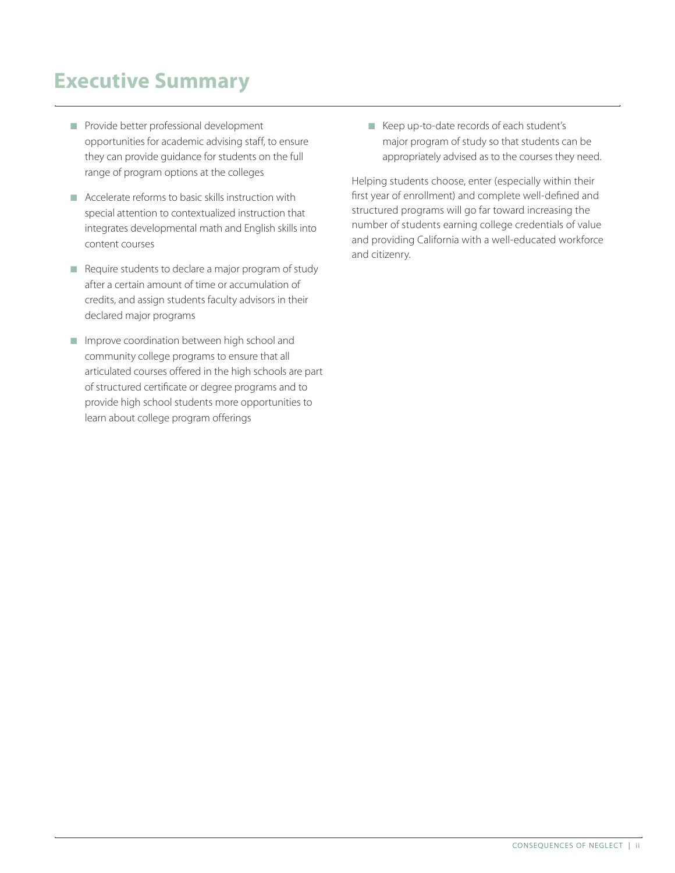### **Executive Summary**

- **n** Provide better professional development opportunities for academic advising staff, to ensure they can provide guidance for students on the full range of program options at the colleges
- $\blacksquare$  Accelerate reforms to basic skills instruction with special attention to contextualized instruction that integrates developmental math and English skills into content courses
- $\blacksquare$  Require students to declare a major program of study after a certain amount of time or accumulation of credits, and assign students faculty advisors in their declared major programs
- **n** Improve coordination between high school and community college programs to ensure that all articulated courses offered in the high schools are part of structured certificate or degree programs and to provide high school students more opportunities to learn about college program offerings

■ Keep up-to-date records of each student's major program of study so that students can be appropriately advised as to the courses they need.

Helping students choose, enter (especially within their first year of enrollment) and complete well-defined and structured programs will go far toward increasing the number of students earning college credentials of value and providing California with a well-educated workforce and citizenry.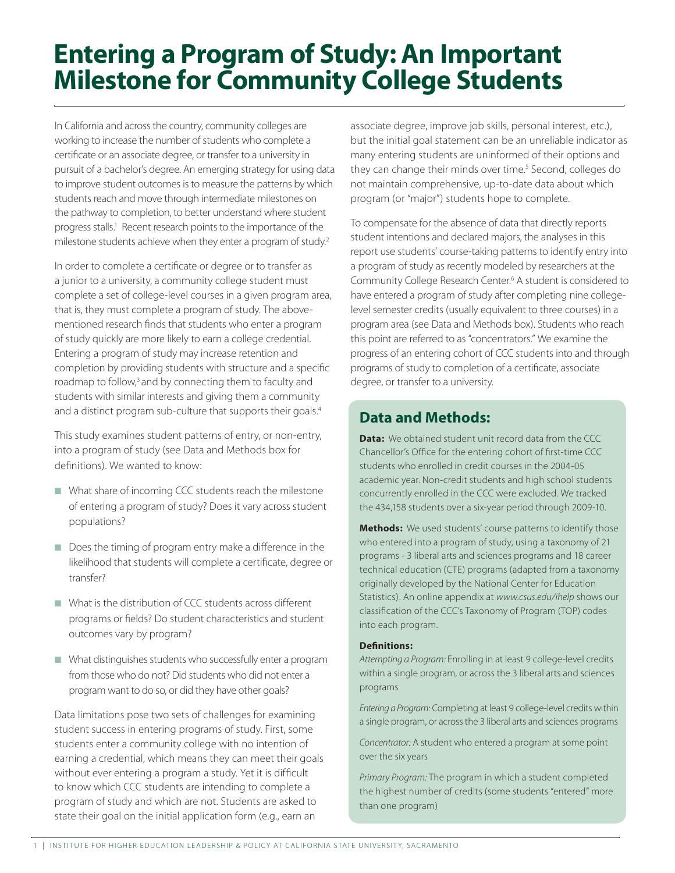# **Entering a Program of Study: An Important Milestone for Community College Students**

In California and across the country, community colleges are working to increase the number of students who complete a certificate or an associate degree, or transfer to a university in pursuit of a bachelor's degree. An emerging strategy for using data to improve student outcomes is to measure the patterns by which students reach and move through intermediate milestones on the pathway to completion, to better understand where student progress stalls.<sup>1</sup> Recent research points to the importance of the milestone students achieve when they enter a program of study.<sup>2</sup>

In order to complete a certificate or degree or to transfer as a junior to a university, a community college student must complete a set of college-level courses in a given program area, that is, they must complete a program of study. The abovementioned research finds that students who enter a program of study quickly are more likely to earn a college credential. Entering a program of study may increase retention and completion by providing students with structure and a specific roadmap to follow,<sup>3</sup> and by connecting them to faculty and students with similar interests and giving them a community and a distinct program sub-culture that supports their goals.<sup>4</sup>

This study examines student patterns of entry, or non-entry, into a program of study (see Data and Methods box for definitions). We wanted to know:

- **No. 2018** What share of incoming CCC students reach the milestone of entering a program of study? Does it vary across student populations?
- $\blacksquare$  Does the timing of program entry make a difference in the likelihood that students will complete a certificate, degree or transfer?
- $\blacksquare$  What is the distribution of CCC students across different programs or fields? Do student characteristics and student outcomes vary by program?
- $\blacksquare$  What distinguishes students who successfully enter a program from those who do not? Did students who did not enter a program want to do so, or did they have other goals?

Data limitations pose two sets of challenges for examining student success in entering programs of study. First, some students enter a community college with no intention of earning a credential, which means they can meet their goals without ever entering a program a study. Yet it is difficult to know which CCC students are intending to complete a program of study and which are not. Students are asked to state their goal on the initial application form (e.g., earn an

associate degree, improve job skills, personal interest, etc.), but the initial goal statement can be an unreliable indicator as many entering students are uninformed of their options and they can change their minds over time.<sup>5</sup> Second, colleges do not maintain comprehensive, up-to-date data about which program (or "major") students hope to complete.

To compensate for the absence of data that directly reports student intentions and declared majors, the analyses in this report use students' course-taking patterns to identify entry into a program of study as recently modeled by researchers at the Community College Research Center.<sup>6</sup> A student is considered to have entered a program of study after completing nine collegelevel semester credits (usually equivalent to three courses) in a program area (see Data and Methods box). Students who reach this point are referred to as "concentrators." We examine the progress of an entering cohort of CCC students into and through programs of study to completion of a certificate, associate degree, or transfer to a university.

### **Data and Methods:**

Data: We obtained student unit record data from the CCC Chancellor's Office for the entering cohort of first-time CCC students who enrolled in credit courses in the 2004-05 academic year. Non-credit students and high school students concurrently enrolled in the CCC were excluded. We tracked the 434,158 students over a six-year period through 2009-10.

Methods: We used students' course patterns to identify those who entered into a program of study, using a taxonomy of 21 programs - 3 liberal arts and sciences programs and 18 career technical education (CTE) programs (adapted from a taxonomy originally developed by the National Center for Education Statistics). An online appendix at *www.csus.edu/ihelp* shows our classification of the CCC's Taxonomy of Program (TOP) codes into each program.

#### Definitions:

*Attempting a Program:* Enrolling in at least 9 college-level credits within a single program, or across the 3 liberal arts and sciences programs

*Entering a Program:* Completing at least 9 college-level credits within a single program, or across the 3 liberal arts and sciences programs

*Concentrator:* A student who entered a program at some point over the six years

*Primary Program:* The program in which a student completed the highest number of credits (some students "entered" more than one program)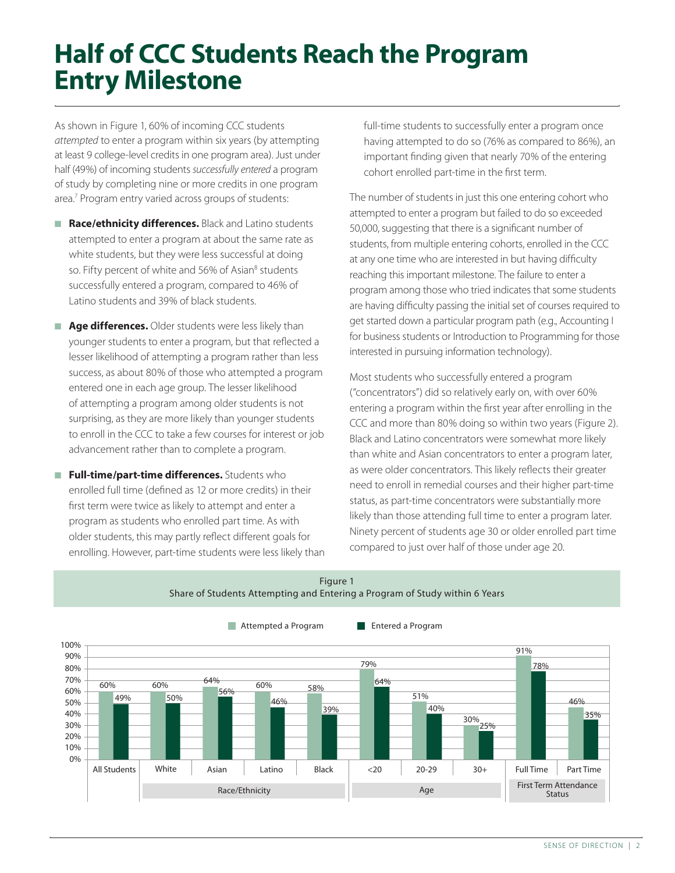# **Half of CCC Students Reach the Program Entry Milestone**

As shown in Figure 1, 60% of incoming CCC students *attempted* to enter a program within six years (by attempting at least 9 college-level credits in one program area). Just under half (49%) of incoming students *successfully entered* a program of study by completing nine or more credits in one program area.7 Program entry varied across groups of students:

- **Race/ethnicity differences.** Black and Latino students attempted to enter a program at about the same rate as white students, but they were less successful at doing so. Fifty percent of white and 56% of Asian<sup>8</sup> students successfully entered a program, compared to 46% of Latino students and 39% of black students.
- **Age differences.** Older students were less likely than younger students to enter a program, but that reflected a lesser likelihood of attempting a program rather than less success, as about 80% of those who attempted a program entered one in each age group. The lesser likelihood of attempting a program among older students is not surprising, as they are more likely than younger students to enroll in the CCC to take a few courses for interest or job advancement rather than to complete a program.
- $\blacksquare$  Full-time/part-time differences. Students who enrolled full time (defined as 12 or more credits) in their first term were twice as likely to attempt and enter a program as students who enrolled part time. As with older students, this may partly reflect different goals for enrolling. However, part-time students were less likely than

full-time students to successfully enter a program once having attempted to do so (76% as compared to 86%), an important finding given that nearly 70% of the entering cohort enrolled part-time in the first term.

The number of students in just this one entering cohort who attempted to enter a program but failed to do so exceeded 50,000, suggesting that there is a significant number of students, from multiple entering cohorts, enrolled in the CCC at any one time who are interested in but having difficulty reaching this important milestone. The failure to enter a program among those who tried indicates that some students are having difficulty passing the initial set of courses required to get started down a particular program path (e.g., Accounting I for business students or Introduction to Programming for those interested in pursuing information technology).

Most students who successfully entered a program ("concentrators") did so relatively early on, with over 60% entering a program within the first year after enrolling in the CCC and more than 80% doing so within two years (Figure 2). Black and Latino concentrators were somewhat more likely than white and Asian concentrators to enter a program later, as were older concentrators. This likely reflects their greater need to enroll in remedial courses and their higher part-time status, as part-time concentrators were substantially more likely than those attending full time to enter a program later. Ninety percent of students age 30 or older enrolled part time compared to just over half of those under age 20.



Figure 1 Share of Students Attempting and Entering a Program of Study within 6 Years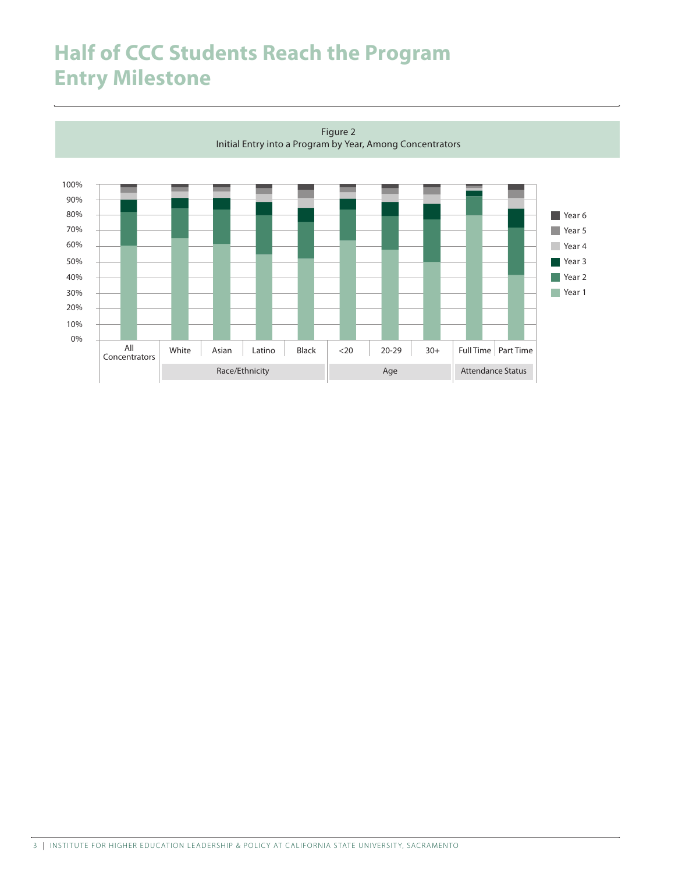### **Half of CCC Students Reach the Program Entry Milestone**

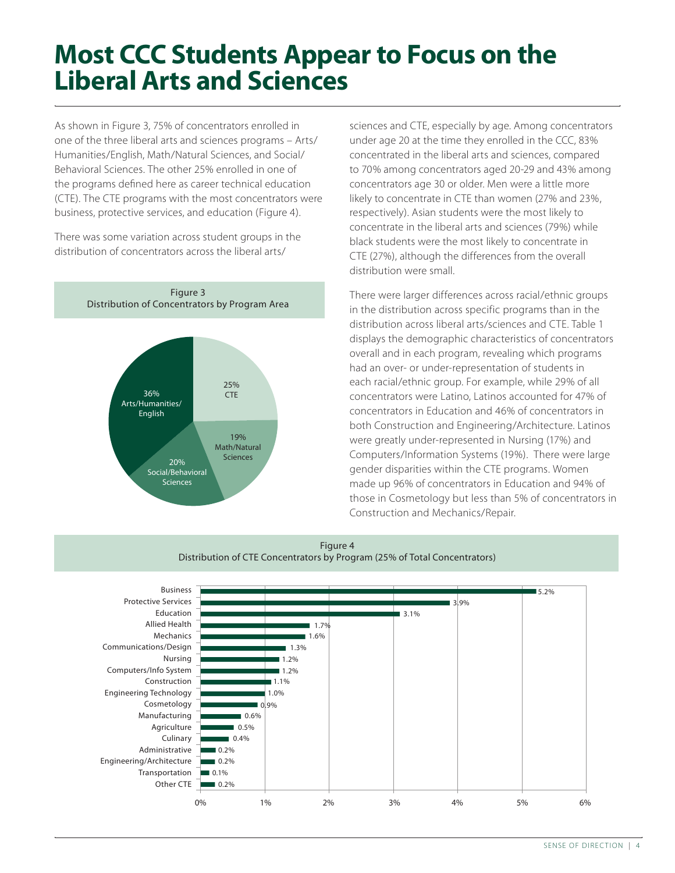## **Most CCC Students Appear to Focus on the Liberal Arts and Sciences**

As shown in Figure 3, 75% of concentrators enrolled in one of the three liberal arts and sciences programs – Arts/ Humanities/English, Math/Natural Sciences, and Social/ Behavioral Sciences. The other 25% enrolled in one of the programs defined here as career technical education (CTE). The CTE programs with the most concentrators were business, protective services, and education (Figure 4).

There was some variation across student groups in the distribution of concentrators across the liberal arts/



sciences and CTE, especially by age. Among concentrators under age 20 at the time they enrolled in the CCC, 83% concentrated in the liberal arts and sciences, compared to 70% among concentrators aged 20-29 and 43% among concentrators age 30 or older. Men were a little more likely to concentrate in CTE than women (27% and 23%, respectively). Asian students were the most likely to concentrate in the liberal arts and sciences (79%) while black students were the most likely to concentrate in CTE (27%), although the differences from the overall distribution were small.

There were larger differences across racial/ethnic groups in the distribution across specific programs than in the distribution across liberal arts/sciences and CTE. Table 1 displays the demographic characteristics of concentrators overall and in each program, revealing which programs had an over- or under-representation of students in each racial/ethnic group. For example, while 29% of all concentrators were Latino, Latinos accounted for 47% of concentrators in Education and 46% of concentrators in both Construction and Engineering/Architecture. Latinos were greatly under-represented in Nursing (17%) and Computers/Information Systems (19%). There were large gender disparities within the CTE programs. Women made up 96% of concentrators in Education and 94% of those in Cosmetology but less than 5% of concentrators in Construction and Mechanics/Repair.



#### Figure 4 Distribution of CTE Concentrators by Program (25% of Total Concentrators)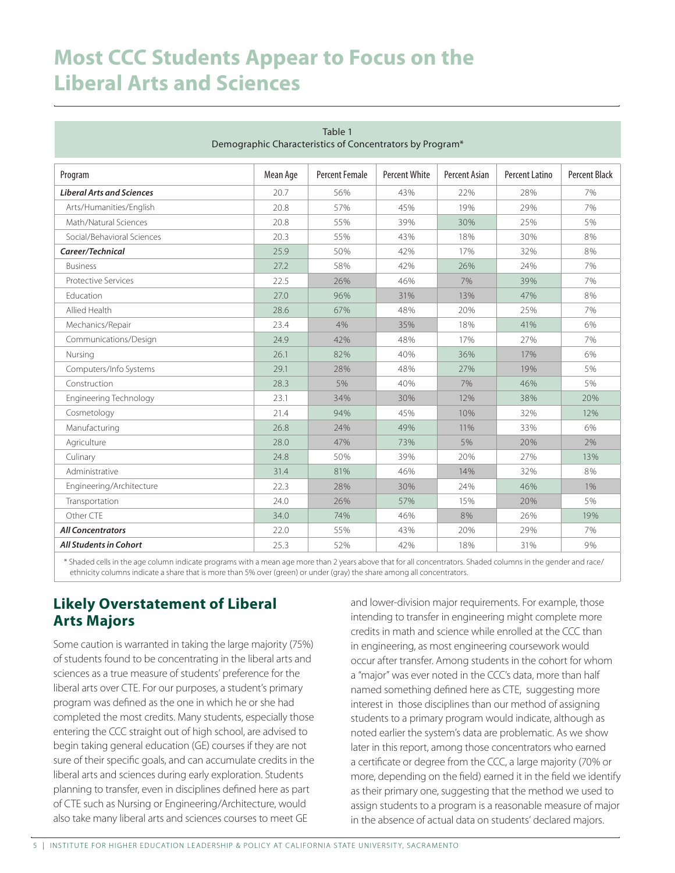### **Most CCC Students Appear to Focus on the Liberal Arts and Sciences**

| Table 1<br>Demographic Characteristics of Concentrators by Program* |          |                |               |                      |                       |               |  |
|---------------------------------------------------------------------|----------|----------------|---------------|----------------------|-----------------------|---------------|--|
| Program                                                             | Mean Age | Percent Female | Percent White | <b>Percent Asian</b> | <b>Percent Latino</b> | Percent Black |  |
| <b>Liberal Arts and Sciences</b>                                    | 20.7     | 56%            | 43%           | 22%                  | 28%                   | 7%            |  |
| Arts/Humanities/English                                             | 20.8     | 57%            | 45%           | 19%                  | 29%                   | 7%            |  |
| Math/Natural Sciences                                               | 20.8     | 55%            | 39%           | 30%                  | 25%                   | 5%            |  |
| Social/Behavioral Sciences                                          | 20.3     | 55%            | 43%           | 18%                  | 30%                   | 8%            |  |
| Career/Technical                                                    | 25.9     | 50%            | 42%           | 17%                  | 32%                   | 8%            |  |
| <b>Business</b>                                                     | 27.2     | 58%            | 42%           | 26%<br>24%           |                       | 7%            |  |
| <b>Protective Services</b>                                          | 22.5     | 26%            | 46%           | 7%<br>39%            |                       | 7%            |  |
| Education                                                           | 27.0     | 96%            | 31%           | 47%<br>13%           |                       | 8%            |  |
| Allied Health                                                       | 28.6     | 67%            | 48%           | 20%<br>25%           |                       | 7%            |  |
| Mechanics/Repair                                                    | 23.4     | 4%             | 35%           | 18%                  | 41%                   |               |  |
| Communications/Design                                               | 24.9     | 42%            | 48%           | 17%                  | 27%                   | 7%            |  |
| Nursing                                                             | 26.1     | 82%            | 40%           | 36%                  | 17%                   | 6%            |  |
| Computers/Info Systems                                              | 29.1     | 28%            | 48%           | 27%                  | 19%                   | 5%            |  |
| Construction                                                        | 28.3     | 5%             | 40%           | 7%                   | 46%                   |               |  |
| <b>Engineering Technology</b>                                       | 23.1     | 34%            | 30%           | 12%                  | 38%                   |               |  |
| Cosmetology                                                         | 21.4     | 94%            | 45%           | 10%                  | 32%                   | 12%           |  |
| Manufacturing                                                       | 26.8     | 24%            | 49%           | 11%                  | 33%                   |               |  |
| Agriculture                                                         | 28.0     | 47%            | 73%           | 5%                   | 20%                   |               |  |
| Culinary                                                            | 24.8     | 50%            | 39%           | 20%                  | 27%                   |               |  |
| Administrative                                                      | 31.4     | 81%            | 46%           | 14%                  | 32%                   | 8%            |  |
| Engineering/Architecture                                            | 22.3     | 28%            | 30%           | 24%                  | 46%                   | 1%            |  |
| Transportation                                                      | 24.0     | 26%            | 57%           | 15%                  | 20%                   | 5%            |  |
| Other CTE                                                           | 34.0     | 74%            | 46%           | 8%                   | 26%                   | 19%           |  |
| <b>All Concentrators</b>                                            | 22.0     | 55%            | 43%           | 20%                  | 29%                   | 7%            |  |
| <b>All Students in Cohort</b>                                       | 25.3     | 52%            | 42%           | 18%                  | 31%                   | 9%            |  |

\* Shaded cells in the age column indicate programs with a mean age more than 2 years above that for all concentrators. Shaded columns in the gender and race/ ethnicity columns indicate a share that is more than 5% over (green) or under (gray) the share among all concentrators.

### **Likely Overstatement of Liberal Arts Majors**

Some caution is warranted in taking the large majority (75%) of students found to be concentrating in the liberal arts and sciences as a true measure of students' preference for the liberal arts over CTE. For our purposes, a student's primary program was defined as the one in which he or she had completed the most credits. Many students, especially those entering the CCC straight out of high school, are advised to begin taking general education (GE) courses if they are not sure of their specific goals, and can accumulate credits in the liberal arts and sciences during early exploration. Students planning to transfer, even in disciplines defined here as part of CTE such as Nursing or Engineering/Architecture, would also take many liberal arts and sciences courses to meet GE

and lower-division major requirements. For example, those intending to transfer in engineering might complete more credits in math and science while enrolled at the CCC than in engineering, as most engineering coursework would occur after transfer. Among students in the cohort for whom a "major" was ever noted in the CCC's data, more than half named something defined here as CTE, suggesting more interest in those disciplines than our method of assigning students to a primary program would indicate, although as noted earlier the system's data are problematic. As we show later in this report, among those concentrators who earned a certificate or degree from the CCC, a large majority (70% or more, depending on the field) earned it in the field we identify as their primary one, suggesting that the method we used to assign students to a program is a reasonable measure of major in the absence of actual data on students' declared majors.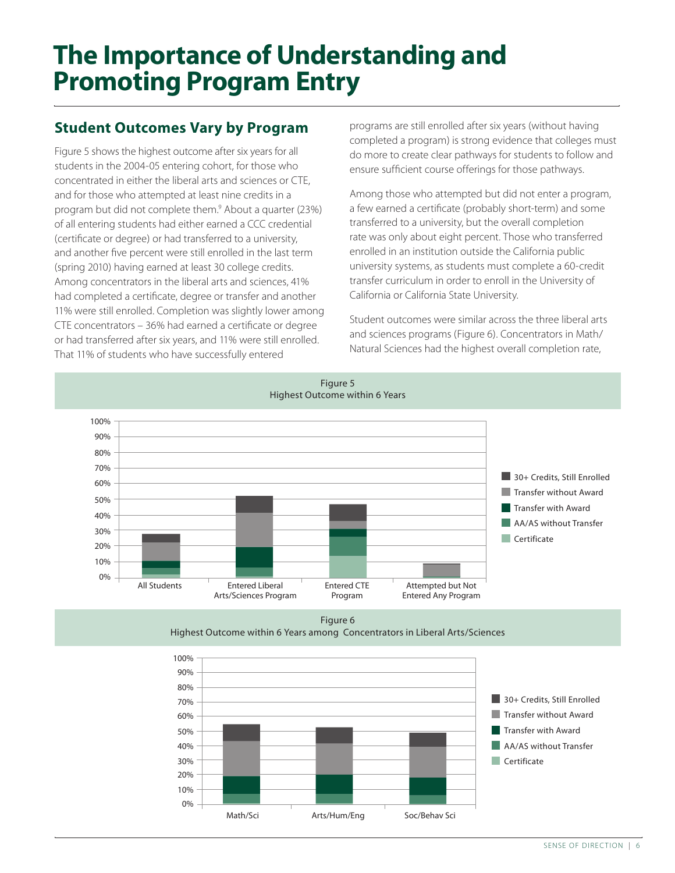# **The Importance of Understanding and Promoting Program Entry**

### **Student Outcomes Vary by Program**

Figure 5 shows the highest outcome after six years for all students in the 2004-05 entering cohort, for those who concentrated in either the liberal arts and sciences or CTE, and for those who attempted at least nine credits in a program but did not complete them.<sup>9</sup> About a quarter (23%) of all entering students had either earned a CCC credential (certificate or degree) or had transferred to a university, and another five percent were still enrolled in the last term (spring 2010) having earned at least 30 college credits. Among concentrators in the liberal arts and sciences, 41% had completed a certificate, degree or transfer and another 11% were still enrolled. Completion was slightly lower among CTE concentrators – 36% had earned a certificate or degree or had transferred after six years, and 11% were still enrolled. That 11% of students who have successfully entered

programs are still enrolled after six years (without having completed a program) is strong evidence that colleges must do more to create clear pathways for students to follow and ensure sufficient course offerings for those pathways.

Among those who attempted but did not enter a program, a few earned a certificate (probably short-term) and some transferred to a university, but the overall completion rate was only about eight percent. Those who transferred enrolled in an institution outside the California public university systems, as students must complete a 60-credit transfer curriculum in order to enroll in the University of California or California State University.

Student outcomes were similar across the three liberal arts and sciences programs (Figure 6). Concentrators in Math/ Natural Sciences had the highest overall completion rate,



Figure 5 Highest Outcome within 6 Years

Figure 6 Highest Outcome within 6 Years among Concentrators in Liberal Arts/Sciences

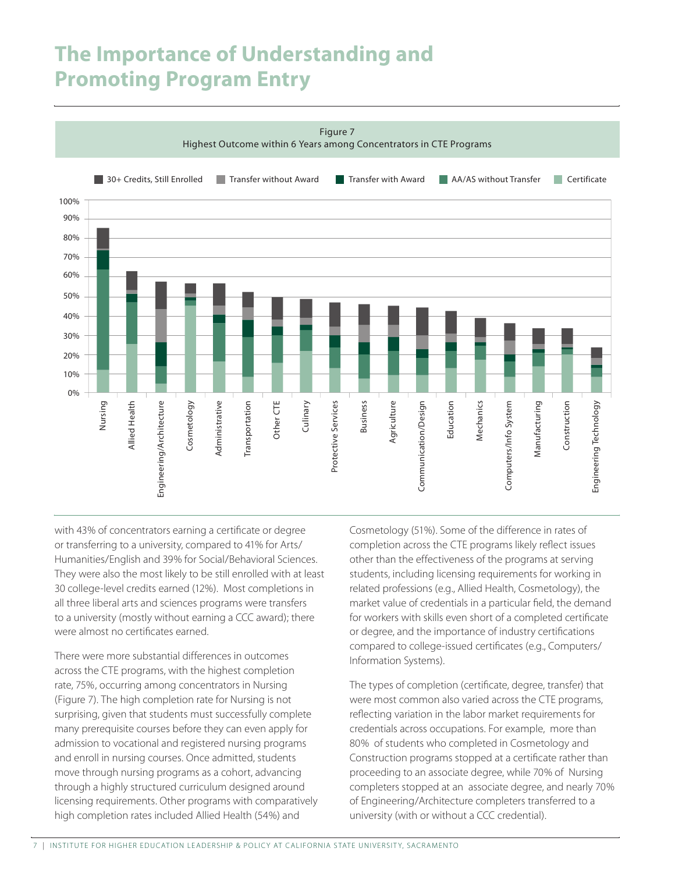### **The Importance of Understanding and Promoting Program Entry**



with 43% of concentrators earning a certificate or degree or transferring to a university, compared to 41% for Arts/ Humanities/English and 39% for Social/Behavioral Sciences. They were also the most likely to be still enrolled with at least 30 college-level credits earned (12%). Most completions in all three liberal arts and sciences programs were transfers to a university (mostly without earning a CCC award); there were almost no certificates earned.

There were more substantial differences in outcomes across the CTE programs, with the highest completion rate, 75%, occurring among concentrators in Nursing (Figure 7). The high completion rate for Nursing is not surprising, given that students must successfully complete many prerequisite courses before they can even apply for admission to vocational and registered nursing programs and enroll in nursing courses. Once admitted, students move through nursing programs as a cohort, advancing through a highly structured curriculum designed around licensing requirements. Other programs with comparatively high completion rates included Allied Health (54%) and

Cosmetology (51%). Some of the difference in rates of completion across the CTE programs likely reflect issues other than the effectiveness of the programs at serving students, including licensing requirements for working in related professions (e.g., Allied Health, Cosmetology), the market value of credentials in a particular field, the demand for workers with skills even short of a completed certificate or degree, and the importance of industry certifications compared to college-issued certificates (e.g., Computers/ Information Systems).

The types of completion (certificate, degree, transfer) that were most common also varied across the CTE programs, reflecting variation in the labor market requirements for credentials across occupations. For example, more than 80% of students who completed in Cosmetology and Construction programs stopped at a certificate rather than proceeding to an associate degree, while 70% of Nursing completers stopped at an associate degree, and nearly 70% of Engineering/Architecture completers transferred to a university (with or without a CCC credential).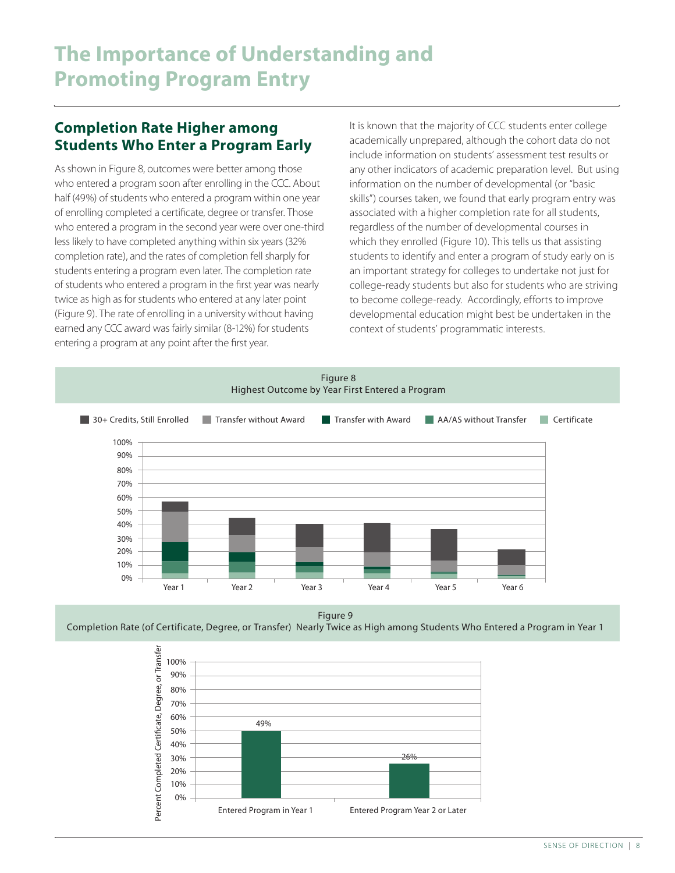#### **Completion Rate Higher among Students Who Enter a Program Early**

As shown in Figure 8, outcomes were better among those who entered a program soon after enrolling in the CCC. About half (49%) of students who entered a program within one year of enrolling completed a certificate, degree or transfer. Those who entered a program in the second year were over one-third less likely to have completed anything within six years (32% completion rate), and the rates of completion fell sharply for students entering a program even later. The completion rate of students who entered a program in the first year was nearly twice as high as for students who entered at any later point (Figure 9). The rate of enrolling in a university without having earned any CCC award was fairly similar (8-12%) for students entering a program at any point after the first year.

It is known that the majority of CCC students enter college academically unprepared, although the cohort data do not include information on students' assessment test results or any other indicators of academic preparation level. But using information on the number of developmental (or "basic skills") courses taken, we found that early program entry was associated with a higher completion rate for all students, regardless of the number of developmental courses in which they enrolled (Figure 10). This tells us that assisting students to identify and enter a program of study early on is an important strategy for colleges to undertake not just for college-ready students but also for students who are striving to become college-ready. Accordingly, efforts to improve developmental education might best be undertaken in the context of students' programmatic interests.



Figure 9



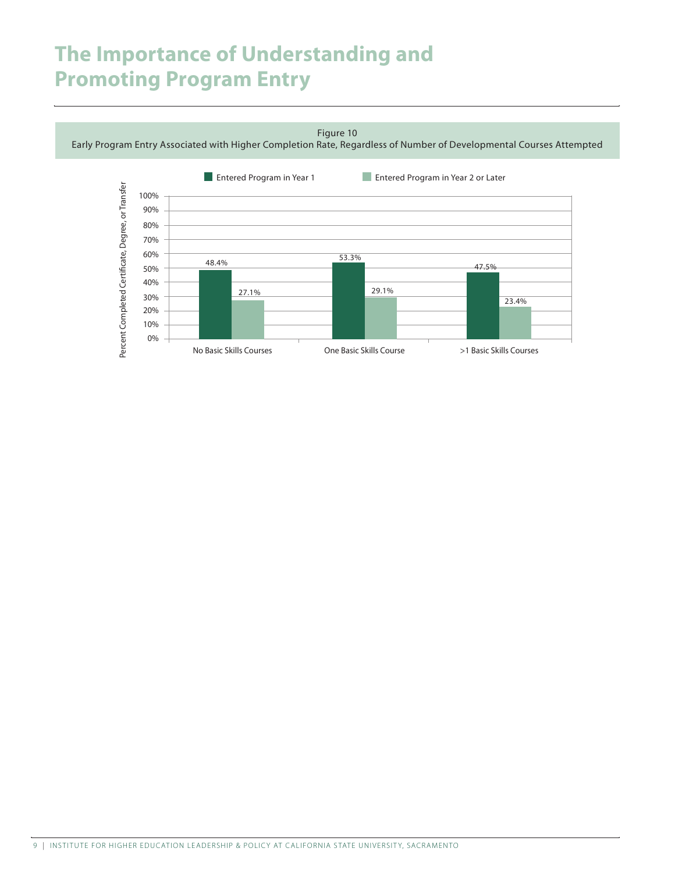### **The Importance of Understanding and Promoting Program Entry**

Figure 10

Early Program Entry Associated with Higher Completion Rate, Regardless of Number of Developmental Courses Attempted

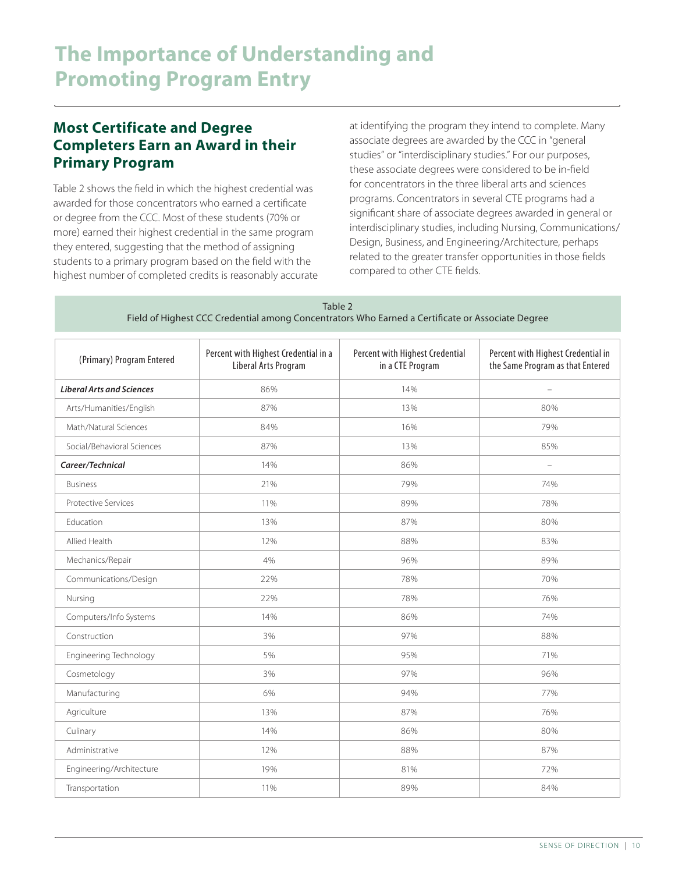### **Most Certificate and Degree Completers Earn an Award in their Primary Program**

Table 2 shows the field in which the highest credential was awarded for those concentrators who earned a certificate or degree from the CCC. Most of these students (70% or more) earned their highest credential in the same program they entered, suggesting that the method of assigning students to a primary program based on the field with the highest number of completed credits is reasonably accurate at identifying the program they intend to complete. Many associate degrees are awarded by the CCC in "general studies" or "interdisciplinary studies." For our purposes, these associate degrees were considered to be in-field for concentrators in the three liberal arts and sciences programs. Concentrators in several CTE programs had a significant share of associate degrees awarded in general or interdisciplinary studies, including Nursing, Communications/ Design, Business, and Engineering/Architecture, perhaps related to the greater transfer opportunities in those fields compared to other CTE fields.

| Table 2                                                                                          |
|--------------------------------------------------------------------------------------------------|
| Field of Highest CCC Credential among Concentrators Who Earned a Certificate or Associate Degree |

| (Primary) Program Entered        | Percent with Highest Credential in a<br>Liberal Arts Program | Percent with Highest Credential<br>in a CTE Program | Percent with Highest Credential in<br>the Same Program as that Entered |  |
|----------------------------------|--------------------------------------------------------------|-----------------------------------------------------|------------------------------------------------------------------------|--|
| <b>Liberal Arts and Sciences</b> | 86%                                                          | 14%                                                 | $\overline{\phantom{0}}$                                               |  |
| Arts/Humanities/English          | 87%                                                          | 13%                                                 | 80%                                                                    |  |
| Math/Natural Sciences            | 84%                                                          | 16%                                                 | 79%                                                                    |  |
| Social/Behavioral Sciences       | 87%                                                          | 13%                                                 | 85%                                                                    |  |
| Career/Technical                 | 14%                                                          | 86%                                                 | $\overline{\phantom{0}}$                                               |  |
| <b>Business</b>                  | 21%                                                          | 79%                                                 | 74%                                                                    |  |
| <b>Protective Services</b>       | 11%                                                          | 89%                                                 | 78%                                                                    |  |
| Education                        | 13%                                                          | 87%                                                 | 80%                                                                    |  |
| Allied Health                    | 12%                                                          | 88%                                                 | 83%                                                                    |  |
| Mechanics/Repair                 | 4%                                                           | 96%                                                 | 89%                                                                    |  |
| Communications/Design            | 22%                                                          | 78%                                                 | 70%                                                                    |  |
| Nursing                          | 22%                                                          | 78%                                                 | 76%                                                                    |  |
| Computers/Info Systems           | 14%                                                          | 86%                                                 | 74%                                                                    |  |
| Construction                     | 3%                                                           | 97%                                                 | 88%                                                                    |  |
| Engineering Technology           | 5%                                                           | 95%                                                 | 71%                                                                    |  |
| Cosmetology                      | 3%                                                           | 97%                                                 | 96%                                                                    |  |
| Manufacturing                    | 6%                                                           | 94%                                                 | 77%                                                                    |  |
| Agriculture                      | 13%                                                          | 87%                                                 | 76%                                                                    |  |
| Culinary                         | 14%                                                          | 86%                                                 | 80%                                                                    |  |
| Administrative                   | 12%                                                          | 88%                                                 | 87%                                                                    |  |
| Engineering/Architecture         | 19%                                                          | 81%                                                 | 72%                                                                    |  |
| Transportation                   | 11%                                                          | 89%                                                 | 84%                                                                    |  |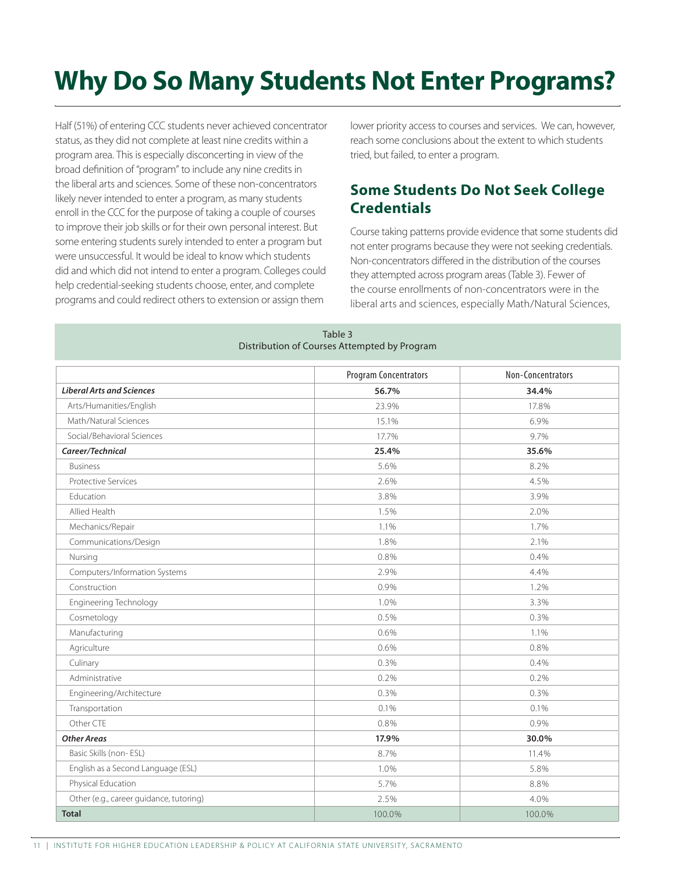# **Why Do So Many Students Not Enter Programs?**

Half (51%) of entering CCC students never achieved concentrator status, as they did not complete at least nine credits within a program area. This is especially disconcerting in view of the broad definition of "program" to include any nine credits in the liberal arts and sciences. Some of these non-concentrators likely never intended to enter a program, as many students enroll in the CCC for the purpose of taking a couple of courses to improve their job skills or for their own personal interest. But some entering students surely intended to enter a program but were unsuccessful. It would be ideal to know which students did and which did not intend to enter a program. Colleges could help credential-seeking students choose, enter, and complete programs and could redirect others to extension or assign them

lower priority access to courses and services. We can, however, reach some conclusions about the extent to which students tried, but failed, to enter a program.

### **Some Students Do Not Seek College Credentials**

Course taking patterns provide evidence that some students did not enter programs because they were not seeking credentials. Non-concentrators differed in the distribution of the courses they attempted across program areas (Table 3). Fewer of the course enrollments of non-concentrators were in the liberal arts and sciences, especially Math/Natural Sciences,

| Distribution of Courses Attempted by Program |                              |                   |  |  |
|----------------------------------------------|------------------------------|-------------------|--|--|
|                                              | <b>Program Concentrators</b> | Non-Concentrators |  |  |
| <b>Liberal Arts and Sciences</b>             | 56.7%                        | 34.4%             |  |  |
| Arts/Humanities/English                      | 23.9%                        | 17.8%             |  |  |
| Math/Natural Sciences                        | 15.1%                        | 6.9%              |  |  |
| Social/Behavioral Sciences                   | 17.7%                        | 9.7%              |  |  |
| Career/Technical                             | 25.4%                        | 35.6%             |  |  |
| <b>Business</b>                              | 5.6%                         | 8.2%              |  |  |
| <b>Protective Services</b>                   | 2.6%                         | 4.5%              |  |  |
| Education                                    | 3.8%                         | 3.9%              |  |  |
| Allied Health                                | 1.5%                         | 2.0%              |  |  |
| Mechanics/Repair                             | 1.1%                         | 1.7%              |  |  |
| Communications/Design                        | 1.8%                         | 2.1%              |  |  |
| Nursing                                      | 0.8%                         | 0.4%              |  |  |
| Computers/Information Systems                | 2.9%                         | 4.4%              |  |  |
| Construction                                 | 0.9%                         | 1.2%              |  |  |
| <b>Engineering Technology</b>                | 1.0%                         | 3.3%              |  |  |
| Cosmetology                                  | 0.5%                         | 0.3%              |  |  |
| Manufacturing                                | 0.6%                         | 1.1%              |  |  |
| Agriculture                                  | 0.6%                         | 0.8%              |  |  |
| Culinary                                     | 0.3%                         | 0.4%              |  |  |
| Administrative                               | 0.2%                         | 0.2%              |  |  |
| Engineering/Architecture                     | 0.3%                         | 0.3%              |  |  |
| Transportation                               | 0.1%                         | 0.1%              |  |  |
| Other CTE                                    | 0.8%                         | 0.9%              |  |  |
| <b>Other Areas</b>                           | 17.9%                        | 30.0%             |  |  |
| Basic Skills (non-ESL)                       | 8.7%                         | 11.4%             |  |  |
| English as a Second Language (ESL)           | 1.0%                         | 5.8%              |  |  |
| Physical Education                           | 5.7%                         | 8.8%              |  |  |
| Other (e.g., career guidance, tutoring)      | 2.5%                         | 4.0%              |  |  |
| <b>Total</b>                                 | 100.0%                       | 100.0%            |  |  |

| Table 3                                      |  |  |  |  |  |  |
|----------------------------------------------|--|--|--|--|--|--|
| Distribution of Courses Attempted by Program |  |  |  |  |  |  |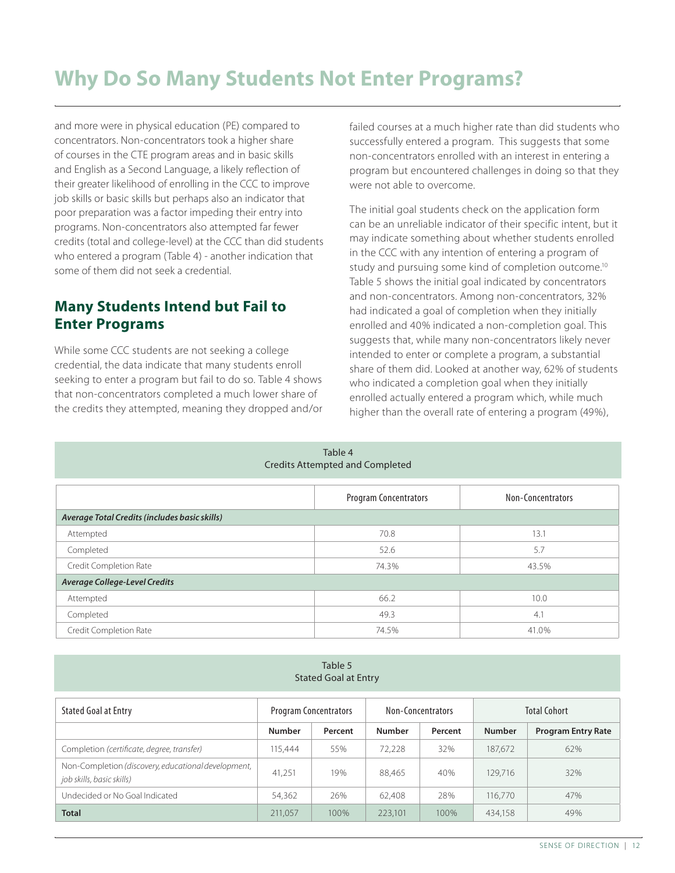### **Why Do So Many Students Not Enter Programs?**

and more were in physical education (PE) compared to concentrators. Non-concentrators took a higher share of courses in the CTE program areas and in basic skills and English as a Second Language, a likely reflection of their greater likelihood of enrolling in the CCC to improve job skills or basic skills but perhaps also an indicator that poor preparation was a factor impeding their entry into programs. Non-concentrators also attempted far fewer credits (total and college-level) at the CCC than did students who entered a program (Table 4) - another indication that some of them did not seek a credential.

#### **Many Students Intend but Fail to Enter Programs**

While some CCC students are not seeking a college credential, the data indicate that many students enroll seeking to enter a program but fail to do so. Table 4 shows that non-concentrators completed a much lower share of the credits they attempted, meaning they dropped and/or failed courses at a much higher rate than did students who successfully entered a program. This suggests that some non-concentrators enrolled with an interest in entering a program but encountered challenges in doing so that they were not able to overcome.

The initial goal students check on the application form can be an unreliable indicator of their specific intent, but it may indicate something about whether students enrolled in the CCC with any intention of entering a program of study and pursuing some kind of completion outcome.<sup>10</sup> Table 5 shows the initial goal indicated by concentrators and non-concentrators. Among non-concentrators, 32% had indicated a goal of completion when they initially enrolled and 40% indicated a non-completion goal. This suggests that, while many non-concentrators likely never intended to enter or complete a program, a substantial share of them did. Looked at another way, 62% of students who indicated a completion goal when they initially enrolled actually entered a program which, while much higher than the overall rate of entering a program (49%),

| Table 4<br><b>Credits Attempted and Completed</b> |                                                   |       |  |  |  |  |
|---------------------------------------------------|---------------------------------------------------|-------|--|--|--|--|
|                                                   | <b>Program Concentrators</b><br>Non-Concentrators |       |  |  |  |  |
| Average Total Credits (includes basic skills)     |                                                   |       |  |  |  |  |
| Attempted                                         | 70.8                                              | 13.1  |  |  |  |  |
| Completed                                         | 52.6                                              | 5.7   |  |  |  |  |
| Credit Completion Rate                            | 74.3%                                             | 43.5% |  |  |  |  |
| <b>Average College-Level Credits</b>              |                                                   |       |  |  |  |  |
| Attempted                                         | 66.2                                              | 10.0  |  |  |  |  |
| Completed                                         | 49.3                                              | 4.1   |  |  |  |  |
| Credit Completion Rate                            | 74.5%                                             | 41.0% |  |  |  |  |

|                      | Table 5 |  |
|----------------------|---------|--|
| Stated Goal at Entry |         |  |

| <b>Stated Goal at Entry</b>                                                      | <b>Program Concentrators</b> |         | Non-Concentrators |         | <b>Total Cohort</b> |                           |
|----------------------------------------------------------------------------------|------------------------------|---------|-------------------|---------|---------------------|---------------------------|
|                                                                                  | <b>Number</b>                | Percent | <b>Number</b>     | Percent | <b>Number</b>       | <b>Program Entry Rate</b> |
| Completion (certificate, degree, transfer)                                       | 115.444                      | 55%     | 72.228            | 32%     | 187,672             | 62%                       |
| Non-Completion (discovery, educational development,<br>job skills, basic skills) | 41.251                       | 19%     | 88.465            | 40%     | 129,716             | 32%                       |
| Undecided or No Goal Indicated                                                   | 54,362                       | 26%     | 62.408            | 28%     | 116,770             | 47%                       |
| <b>Total</b>                                                                     | 211.057                      | 100%    | 223,101           | 100%    | 434.158             | 49%                       |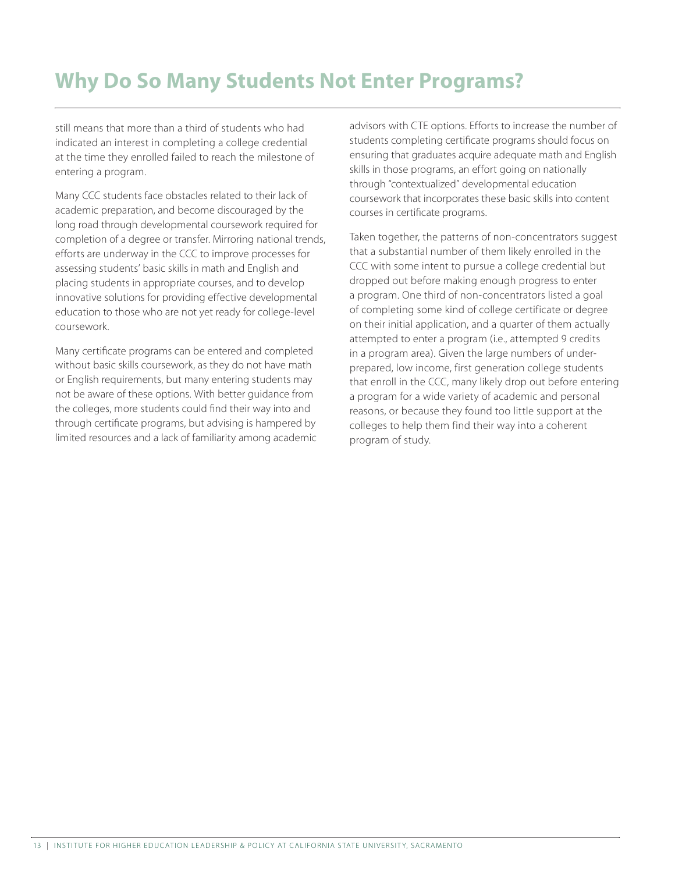### **Why Do So Many Students Not Enter Programs?**

still means that more than a third of students who had indicated an interest in completing a college credential at the time they enrolled failed to reach the milestone of entering a program.

Many CCC students face obstacles related to their lack of academic preparation, and become discouraged by the long road through developmental coursework required for completion of a degree or transfer. Mirroring national trends, efforts are underway in the CCC to improve processes for assessing students' basic skills in math and English and placing students in appropriate courses, and to develop innovative solutions for providing effective developmental education to those who are not yet ready for college-level coursework.

Many certificate programs can be entered and completed without basic skills coursework, as they do not have math or English requirements, but many entering students may not be aware of these options. With better guidance from the colleges, more students could find their way into and through certificate programs, but advising is hampered by limited resources and a lack of familiarity among academic advisors with CTE options. Efforts to increase the number of students completing certificate programs should focus on ensuring that graduates acquire adequate math and English skills in those programs, an effort going on nationally through "contextualized" developmental education coursework that incorporates these basic skills into content courses in certificate programs.

Taken together, the patterns of non-concentrators suggest that a substantial number of them likely enrolled in the CCC with some intent to pursue a college credential but dropped out before making enough progress to enter a program. One third of non-concentrators listed a goal of completing some kind of college certificate or degree on their initial application, and a quarter of them actually attempted to enter a program (i.e., attempted 9 credits in a program area). Given the large numbers of underprepared, low income, first generation college students that enroll in the CCC, many likely drop out before entering a program for a wide variety of academic and personal reasons, or because they found too little support at the colleges to help them find their way into a coherent program of study.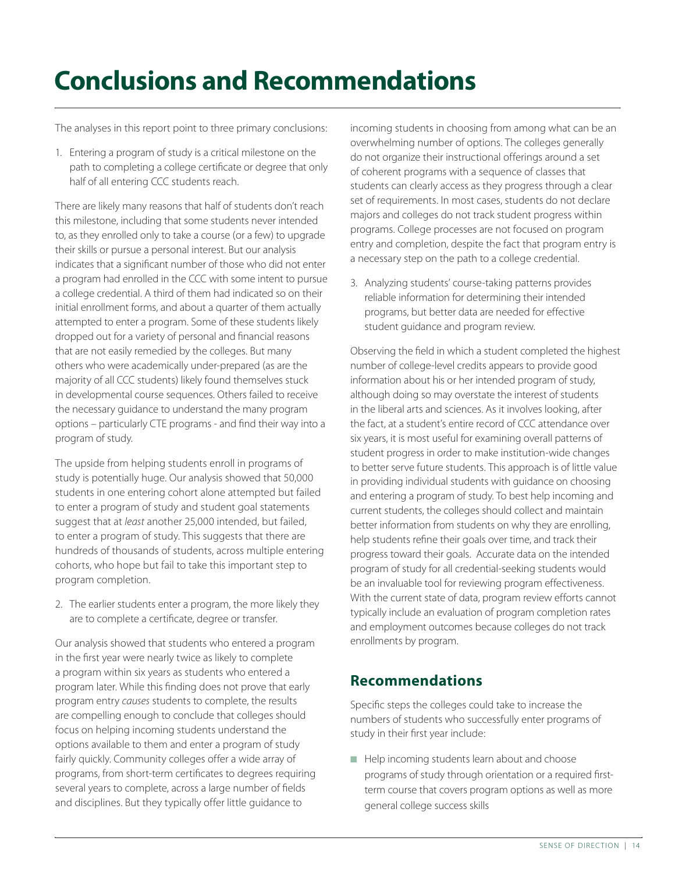# **Conclusions and Recommendations**

The analyses in this report point to three primary conclusions:

1. Entering a program of study is a critical milestone on the path to completing a college certificate or degree that only half of all entering CCC students reach.

There are likely many reasons that half of students don't reach this milestone, including that some students never intended to, as they enrolled only to take a course (or a few) to upgrade their skills or pursue a personal interest. But our analysis indicates that a significant number of those who did not enter a program had enrolled in the CCC with some intent to pursue a college credential. A third of them had indicated so on their initial enrollment forms, and about a quarter of them actually attempted to enter a program. Some of these students likely dropped out for a variety of personal and financial reasons that are not easily remedied by the colleges. But many others who were academically under-prepared (as are the majority of all CCC students) likely found themselves stuck in developmental course sequences. Others failed to receive the necessary guidance to understand the many program options – particularly CTE programs - and find their way into a program of study.

The upside from helping students enroll in programs of study is potentially huge. Our analysis showed that 50,000 students in one entering cohort alone attempted but failed to enter a program of study and student goal statements suggest that at *least* another 25,000 intended, but failed, to enter a program of study. This suggests that there are hundreds of thousands of students, across multiple entering cohorts, who hope but fail to take this important step to program completion.

2. The earlier students enter a program, the more likely they are to complete a certificate, degree or transfer.

Our analysis showed that students who entered a program in the first year were nearly twice as likely to complete a program within six years as students who entered a program later. While this finding does not prove that early program entry *causes* students to complete, the results are compelling enough to conclude that colleges should focus on helping incoming students understand the options available to them and enter a program of study fairly quickly. Community colleges offer a wide array of programs, from short-term certificates to degrees requiring several years to complete, across a large number of fields and disciplines. But they typically offer little guidance to

incoming students in choosing from among what can be an overwhelming number of options. The colleges generally do not organize their instructional offerings around a set of coherent programs with a sequence of classes that students can clearly access as they progress through a clear set of requirements. In most cases, students do not declare majors and colleges do not track student progress within programs. College processes are not focused on program entry and completion, despite the fact that program entry is a necessary step on the path to a college credential.

3. Analyzing students' course-taking patterns provides reliable information for determining their intended programs, but better data are needed for effective student guidance and program review.

Observing the field in which a student completed the highest number of college-level credits appears to provide good information about his or her intended program of study, although doing so may overstate the interest of students in the liberal arts and sciences. As it involves looking, after the fact, at a student's entire record of CCC attendance over six years, it is most useful for examining overall patterns of student progress in order to make institution-wide changes to better serve future students. This approach is of little value in providing individual students with guidance on choosing and entering a program of study. To best help incoming and current students, the colleges should collect and maintain better information from students on why they are enrolling, help students refine their goals over time, and track their progress toward their goals. Accurate data on the intended program of study for all credential-seeking students would be an invaluable tool for reviewing program effectiveness. With the current state of data, program review efforts cannot typically include an evaluation of program completion rates and employment outcomes because colleges do not track enrollments by program.

#### **Recommendations**

Specific steps the colleges could take to increase the numbers of students who successfully enter programs of study in their first year include:

 $\blacksquare$  Help incoming students learn about and choose programs of study through orientation or a required firstterm course that covers program options as well as more general college success skills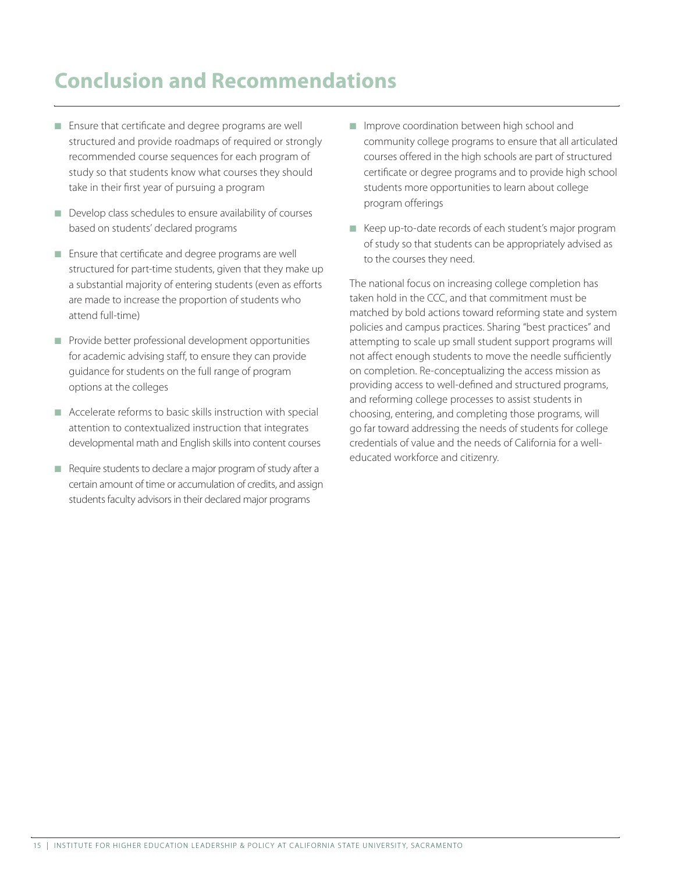### **Conclusion and Recommendations**

- Ensure that certificate and degree programs are well structured and provide roadmaps of required or strongly recommended course sequences for each program of study so that students know what courses they should take in their first year of pursuing a program
- $\blacksquare$  Develop class schedules to ensure availability of courses based on students' declared programs
- $\blacksquare$  Ensure that certificate and degree programs are well structured for part-time students, given that they make up a substantial majority of entering students (even as efforts are made to increase the proportion of students who attend full-time)
- $\blacksquare$  Provide better professional development opportunities for academic advising staff, to ensure they can provide guidance for students on the full range of program options at the colleges
- $\blacksquare$  Accelerate reforms to basic skills instruction with special attention to contextualized instruction that integrates developmental math and English skills into content courses
- $\blacksquare$  Require students to declare a major program of study after a certain amount of time or accumulation of credits, and assign students faculty advisors in their declared major programs
- **n** Improve coordination between high school and community college programs to ensure that all articulated courses offered in the high schools are part of structured certificate or degree programs and to provide high school students more opportunities to learn about college program offerings
- Keep up-to-date records of each student's major program of study so that students can be appropriately advised as to the courses they need.

The national focus on increasing college completion has taken hold in the CCC, and that commitment must be matched by bold actions toward reforming state and system policies and campus practices. Sharing "best practices" and attempting to scale up small student support programs will not affect enough students to move the needle sufficiently on completion. Re-conceptualizing the access mission as providing access to well-defined and structured programs, and reforming college processes to assist students in choosing, entering, and completing those programs, will go far toward addressing the needs of students for college credentials of value and the needs of California for a welleducated workforce and citizenry.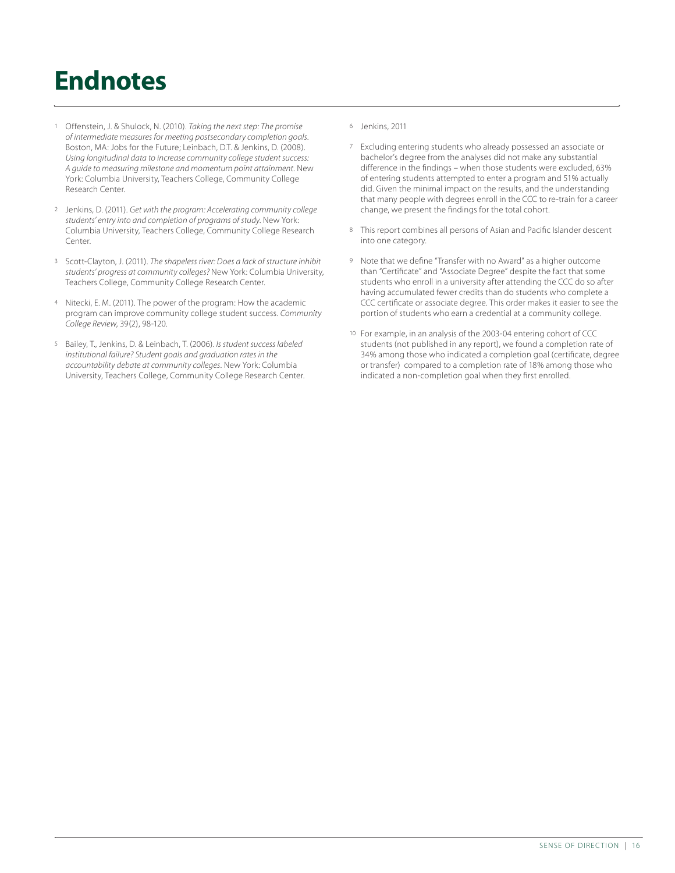# **Endnotes**

- 1 Offenstein, J. & Shulock, N. (2010). *Taking the next step: The promise of intermediate measures for meeting postsecondary completion goals*. Boston, MA: Jobs for the Future; Leinbach, D.T. & Jenkins, D. (2008). *Using longitudinal data to increase community college student success: A guide to measuring milestone and momentum point attainment*. New York: Columbia University, Teachers College, Community College Research Center.
- 2 Jenkins, D. (2011). *Get with the program: Accelerating community college students' entry into and completion of programs of study*. New York: Columbia University, Teachers College, Community College Research Center.
- 3 Scott-Clayton, J. (2011). *The shapeless river: Does a lack of structure inhibit students' progress at community colleges?* New York: Columbia University, Teachers College, Community College Research Center.
- Nitecki, E. M. (2011). The power of the program: How the academic program can improve community college student success. *Community College Review*, 39(2), 98-120.
- 5 Bailey, T., Jenkins, D. & Leinbach, T. (2006). *Is student success labeled institutional failure? Student goals and graduation rates in the accountability debate at community colleges*. New York: Columbia University, Teachers College, Community College Research Center.
- 6 Jenkins, 2011
- 7 Excluding entering students who already possessed an associate or bachelor's degree from the analyses did not make any substantial difference in the findings – when those students were excluded, 63% of entering students attempted to enter a program and 51% actually did. Given the minimal impact on the results, and the understanding that many people with degrees enroll in the CCC to re-train for a career change, we present the findings for the total cohort.
- 8 This report combines all persons of Asian and Pacific Islander descent into one category.
- 9 Note that we define "Transfer with no Award" as a higher outcome than "Certificate" and "Associate Degree" despite the fact that some students who enroll in a university after attending the CCC do so after having accumulated fewer credits than do students who complete a CCC certificate or associate degree. This order makes it easier to see the portion of students who earn a credential at a community college.
- 10 For example, in an analysis of the 2003-04 entering cohort of CCC students (not published in any report), we found a completion rate of 34% among those who indicated a completion goal (certificate, degree or transfer) compared to a completion rate of 18% among those who indicated a non-completion goal when they first enrolled.